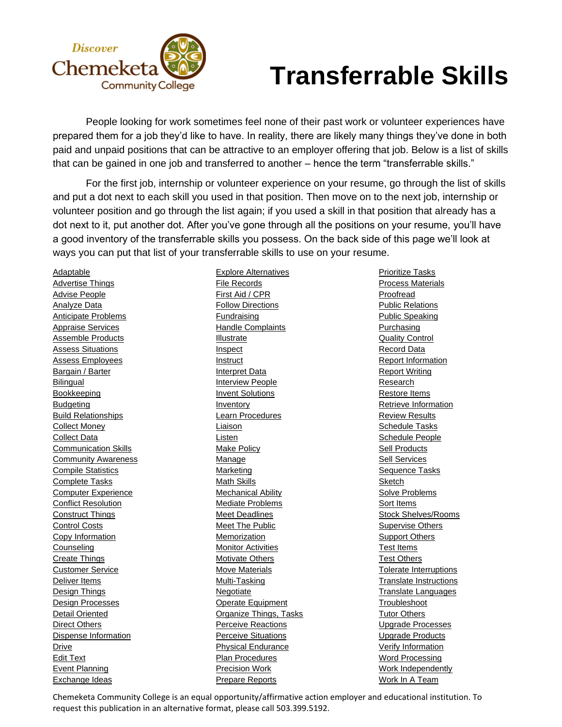

## **Transferrable Skills**

People looking for work sometimes feel none of their past work or volunteer experiences have prepared them for a job they'd like to have. In reality, there are likely many things they've done in both paid and unpaid positions that can be attractive to an employer offering that job. Below is a list of skills that can be gained in one job and transferred to another – hence the term "transferrable skills."

For the first job, internship or volunteer experience on your resume, go through the list of skills and put a dot next to each skill you used in that position. Then move on to the next job, internship or volunteer position and go through the list again; if you used a skill in that position that already has a dot next to it, put another dot. After you've gone through all the positions on your resume, you'll have a good inventory of the transferrable skills you possess. On the back side of this page we'll look at ways you can put that list of your transferrable skills to use on your resume.

Adaptable Advertise Things Advise People Analyze Data Anticipate Problems Appraise Services Assemble Products Assess Situations Assess Employees Bargain / Barter **Bilingual Bookkeeping Budgeting** Build Relationships Collect Money Collect Data Communication Skills **Community Awareness** Compile Statistics Complete Tasks Computer Experience Conflict Resolution Construct Things Control Costs Copy Information **Counseling** Create Things Customer Service Deliver Items Design Things Design Processes Detail Oriented Direct Others Dispense Information Drive Edit Text Event Planning Exchange Ideas

Explore Alternatives File Records First Aid / CPR Follow Directions Fundraising **Handle Complaints Illustrate Inspect** Instruct Interpret Data Interview People **Invent Solutions** Inventory Learn Procedures Liaison Listen Make Policy **Manage** Marketing Math Skills Mechanical Ability Mediate Problems Meet Deadlines **Meet The Public** Memorization Monitor Activities **Motivate Others Move Materials** Multi-Tasking Negotiate Operate Equipment Organize Things, Tasks Perceive Reactions **Perceive Situations** Physical Endurance Plan Procedures Precision Work Prepare Reports

Prioritize Tasks Process Materials Proofread Public Relations Public Speaking **Purchasing Quality Control** Record Data Report Information Report Writing Research Restore Items Retrieve Information Review Results Schedule Tasks Schedule People **Sell Products** Sell Services Sequence Tasks Sketch Solve Problems Sort Items Stock Shelves/Rooms Supervise Others Support Others Test Items Test Others Tolerate Interruptions Translate Instructions Translate Languages Troubleshoot Tutor Others Upgrade Processes Upgrade Products Verify Information Word Processing Work Independently Work In A Team

Chemeketa Community College is an equal opportunity/affirmative action employer and educational institution. To request this publication in an alternative format, please call 503.399.5192.